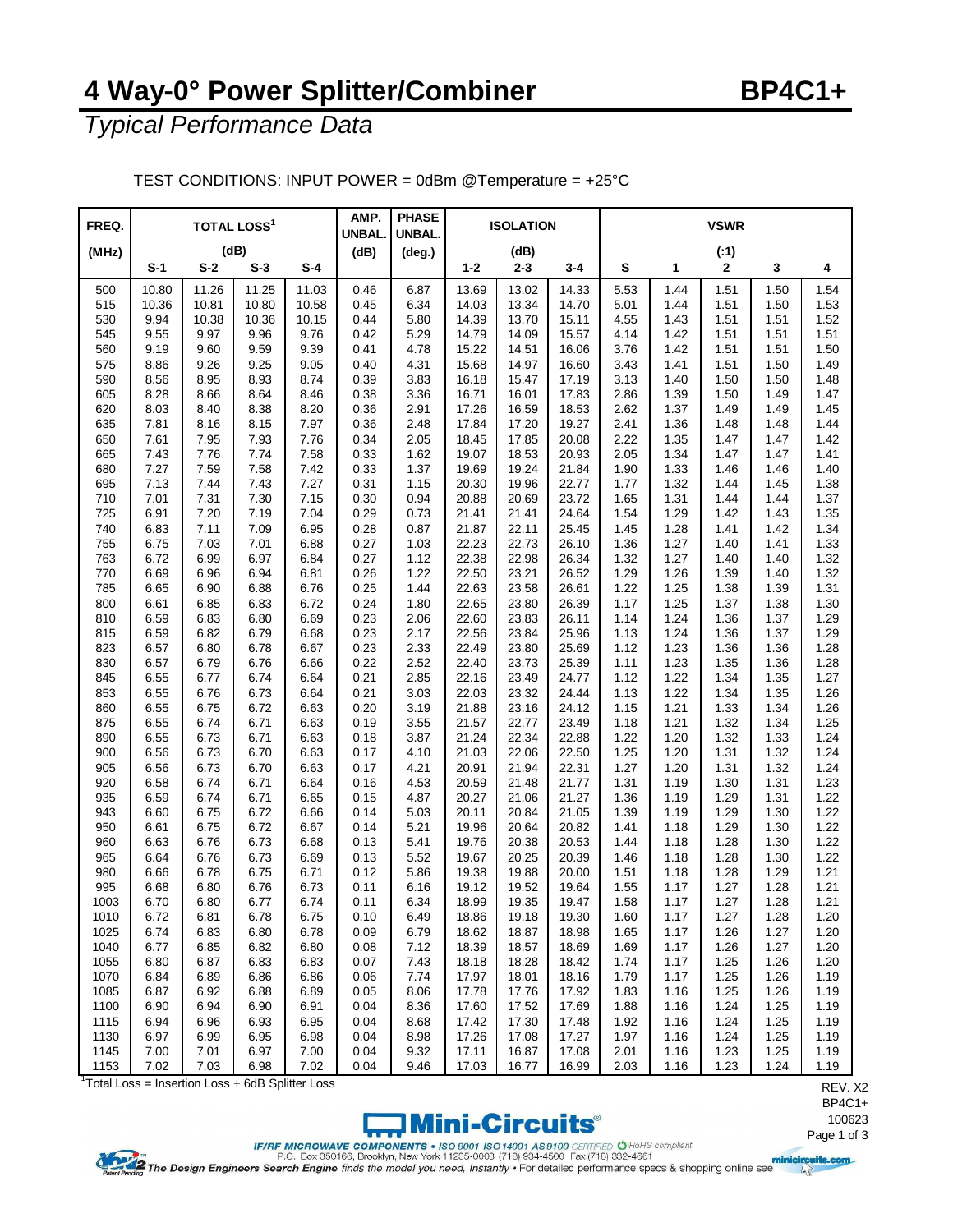## **4 Way-0° Power Splitter/Combiner BP4C1+**

*Typical Performance Data*

| FREQ.        |                | <b>TOTAL LOSS<sup>1</sup></b> |                |                | AMP.<br><b>UNBAL</b> | <b>PHASE</b><br><b>UNBAL.</b> |                | <b>ISOLATION</b> |                | <b>VSWR</b>  |              |              |              |              |  |
|--------------|----------------|-------------------------------|----------------|----------------|----------------------|-------------------------------|----------------|------------------|----------------|--------------|--------------|--------------|--------------|--------------|--|
| (MHz)        | (dB)           |                               |                | (dB)           | $(\text{deg.})$      |                               | (dB)           |                  |                |              | (.1)         |              |              |              |  |
|              | $S-1$          | $S-2$                         | $S-3$          | $S-4$          |                      |                               | $1 - 2$        | $2 - 3$          | 3-4            | S            | 1            | 2            | 3            | 4            |  |
| 500<br>515   | 10.80<br>10.36 | 11.26<br>10.81                | 11.25<br>10.80 | 11.03<br>10.58 | 0.46<br>0.45         | 6.87<br>6.34                  | 13.69<br>14.03 | 13.02<br>13.34   | 14.33<br>14.70 | 5.53<br>5.01 | 1.44<br>1.44 | 1.51<br>1.51 | 1.50<br>1.50 | 1.54<br>1.53 |  |
| 530          | 9.94           | 10.38                         | 10.36          | 10.15          | 0.44                 | 5.80                          | 14.39          | 13.70            | 15.11          | 4.55         | 1.43         | 1.51         | 1.51         | 1.52         |  |
| 545          | 9.55           | 9.97                          | 9.96           | 9.76           | 0.42                 | 5.29                          | 14.79          | 14.09            | 15.57          | 4.14         | 1.42         | 1.51         | 1.51         | 1.51         |  |
| 560          | 9.19           | 9.60                          | 9.59           | 9.39           | 0.41                 | 4.78                          | 15.22          | 14.51            | 16.06          | 3.76         | 1.42         | 1.51         | 1.51         | 1.50         |  |
| 575          | 8.86           | 9.26                          | 9.25           | 9.05           | 0.40                 | 4.31                          | 15.68          | 14.97            | 16.60          | 3.43         | 1.41         | 1.51         | 1.50         | 1.49         |  |
| 590<br>605   | 8.56<br>8.28   | 8.95<br>8.66                  | 8.93<br>8.64   | 8.74<br>8.46   | 0.39<br>0.38         | 3.83<br>3.36                  | 16.18<br>16.71 | 15.47<br>16.01   | 17.19<br>17.83 | 3.13<br>2.86 | 1.40<br>1.39 | 1.50<br>1.50 | 1.50<br>1.49 | 1.48<br>1.47 |  |
| 620          | 8.03           | 8.40                          | 8.38           | 8.20           | 0.36                 | 2.91                          | 17.26          | 16.59            | 18.53          | 2.62         | 1.37         | 1.49         | 1.49         | 1.45         |  |
| 635          | 7.81           | 8.16                          | 8.15           | 7.97           | 0.36                 | 2.48                          | 17.84          | 17.20            | 19.27          | 2.41         | 1.36         | 1.48         | 1.48         | 1.44         |  |
| 650          | 7.61           | 7.95                          | 7.93           | 7.76           | 0.34                 | 2.05                          | 18.45          | 17.85            | 20.08          | 2.22         | 1.35         | 1.47         | 1.47         | 1.42         |  |
| 665          | 7.43           | 7.76                          | 7.74           | 7.58           | 0.33                 | 1.62                          | 19.07          | 18.53            | 20.93          | 2.05         | 1.34         | 1.47         | 1.47         | 1.41         |  |
| 680          | 7.27           | 7.59                          | 7.58           | 7.42           | 0.33                 | 1.37                          | 19.69          | 19.24            | 21.84          | 1.90         | 1.33         | 1.46         | 1.46         | 1.40         |  |
| 695          | 7.13           | 7.44                          | 7.43           | 7.27           | 0.31                 | 1.15                          | 20.30          | 19.96            | 22.77          | 1.77         | 1.32         | 1.44         | 1.45         | 1.38         |  |
| 710          | 7.01           | 7.31                          | 7.30           | 7.15           | 0.30                 | 0.94                          | 20.88          | 20.69            | 23.72          | 1.65         | 1.31         | 1.44         | 1.44         | 1.37         |  |
| 725          | 6.91           | 7.20                          | 7.19           | 7.04           | 0.29                 | 0.73                          | 21.41          | 21.41            | 24.64          | 1.54         | 1.29         | 1.42         | 1.43         | 1.35         |  |
| 740          | 6.83           | 7.11                          | 7.09<br>7.01   | 6.95           | 0.28                 | 0.87                          | 21.87<br>22.23 | 22.11<br>22.73   | 25.45<br>26.10 | 1.45         | 1.28<br>1.27 | 1.41         | 1.42<br>1.41 | 1.34         |  |
| 755<br>763   | 6.75<br>6.72   | 7.03<br>6.99                  | 6.97           | 6.88<br>6.84   | 0.27<br>0.27         | 1.03<br>1.12                  | 22.38          | 22.98            | 26.34          | 1.36<br>1.32 | 1.27         | 1.40<br>1.40 | 1.40         | 1.33<br>1.32 |  |
| 770          | 6.69           | 6.96                          | 6.94           | 6.81           | 0.26                 | 1.22                          | 22.50          | 23.21            | 26.52          | 1.29         | 1.26         | 1.39         | 1.40         | 1.32         |  |
| 785          | 6.65           | 6.90                          | 6.88           | 6.76           | 0.25                 | 1.44                          | 22.63          | 23.58            | 26.61          | 1.22         | 1.25         | 1.38         | 1.39         | 1.31         |  |
| 800          | 6.61           | 6.85                          | 6.83           | 6.72           | 0.24                 | 1.80                          | 22.65          | 23.80            | 26.39          | 1.17         | 1.25         | 1.37         | 1.38         | 1.30         |  |
| 810          | 6.59           | 6.83                          | 6.80           | 6.69           | 0.23                 | 2.06                          | 22.60          | 23.83            | 26.11          | 1.14         | 1.24         | 1.36         | 1.37         | 1.29         |  |
| 815          | 6.59           | 6.82                          | 6.79           | 6.68           | 0.23                 | 2.17                          | 22.56          | 23.84            | 25.96          | 1.13         | 1.24         | 1.36         | 1.37         | 1.29         |  |
| 823          | 6.57           | 6.80                          | 6.78           | 6.67           | 0.23                 | 2.33                          | 22.49          | 23.80            | 25.69          | 1.12         | 1.23         | 1.36         | 1.36         | 1.28         |  |
| 830          | 6.57           | 6.79                          | 6.76           | 6.66           | 0.22                 | 2.52                          | 22.40          | 23.73            | 25.39          | 1.11         | 1.23         | 1.35         | 1.36         | 1.28         |  |
| 845          | 6.55           | 6.77                          | 6.74           | 6.64           | 0.21                 | 2.85                          | 22.16          | 23.49            | 24.77          | 1.12         | 1.22         | 1.34         | 1.35         | 1.27         |  |
| 853<br>860   | 6.55<br>6.55   | 6.76<br>6.75                  | 6.73<br>6.72   | 6.64<br>6.63   | 0.21<br>0.20         | 3.03<br>3.19                  | 22.03<br>21.88 | 23.32<br>23.16   | 24.44<br>24.12 | 1.13<br>1.15 | 1.22<br>1.21 | 1.34<br>1.33 | 1.35<br>1.34 | 1.26<br>1.26 |  |
| 875          | 6.55           | 6.74                          | 6.71           | 6.63           | 0.19                 | 3.55                          | 21.57          | 22.77            | 23.49          | 1.18         | 1.21         | 1.32         | 1.34         | 1.25         |  |
| 890          | 6.55           | 6.73                          | 6.71           | 6.63           | 0.18                 | 3.87                          | 21.24          | 22.34            | 22.88          | 1.22         | 1.20         | 1.32         | 1.33         | 1.24         |  |
| 900          | 6.56           | 6.73                          | 6.70           | 6.63           | 0.17                 | 4.10                          | 21.03          | 22.06            | 22.50          | 1.25         | 1.20         | 1.31         | 1.32         | 1.24         |  |
| 905          | 6.56           | 6.73                          | 6.70           | 6.63           | 0.17                 | 4.21                          | 20.91          | 21.94            | 22.31          | 1.27         | 1.20         | 1.31         | 1.32         | 1.24         |  |
| 920          | 6.58           | 6.74                          | 6.71           | 6.64           | 0.16                 | 4.53                          | 20.59          | 21.48            | 21.77          | 1.31         | 1.19         | 1.30         | 1.31         | 1.23         |  |
| 935          | 6.59           | 6.74                          | 6.71           | 6.65           | 0.15                 | 4.87                          | 20.27          | 21.06            | 21.27          | 1.36         | 1.19         | 1.29         | 1.31         | 1.22         |  |
| 943          | 6.60           | 6.75                          | 6.72           | 6.66           | 0.14                 | 5.03                          | 20.11          | 20.84            | 21.05          | 1.39         | 1.19         | 1.29         | 1.30         | 1.22         |  |
| 950          | 6.61           | 6.75                          | 6.72           | 6.67           | 0.14                 | 5.21                          | 19.96          | 20.64            | 20.82          | 1.41         | 1.18         | 1.29         | 1.30         | 1.22         |  |
| 960<br>965   | 6.63<br>6.64   | 6.76<br>6.76                  | 6.73<br>6.73   | 6.68<br>6.69   | 0.13<br>0.13         | 5.41<br>5.52                  | 19.76<br>19.67 | 20.38<br>20.25   | 20.53<br>20.39 | 1.44<br>1.46 | 1.18<br>1.18 | 1.28<br>1.28 | 1.30<br>1.30 | 1.22<br>1.22 |  |
| 980          | 6.66           | 6.78                          | 6.75           | 6.71           | 0.12                 | 5.86                          | 19.38          | 19.88            | 20.00          | 1.51         | 1.18         | 1.28         | 1.29         | 1.21         |  |
| 995          | 6.68           | 6.80                          | 6.76           | 6.73           | 0.11                 | 6.16                          | 19.12          | 19.52            | 19.64          | 1.55         | 1.17         | 1.27         | 1.28         | 1.21         |  |
| 1003         | 6.70           | 6.80                          | 6.77           | 6.74           | 0.11                 | 6.34                          | 18.99          | 19.35            | 19.47          | 1.58         | 1.17         | 1.27         | 1.28         | 1.21         |  |
| 1010         | 6.72           | 6.81                          | 6.78           | 6.75           | 0.10                 | 6.49                          | 18.86          | 19.18            | 19.30          | 1.60         | 1.17         | 1.27         | 1.28         | 1.20         |  |
| 1025         | 6.74           | 6.83                          | 6.80           | 6.78           | 0.09                 | 6.79                          | 18.62          | 18.87            | 18.98          | 1.65         | 1.17         | 1.26         | 1.27         | 1.20         |  |
| 1040         | 6.77           | 6.85                          | 6.82           | 6.80           | 0.08                 | 7.12                          | 18.39          | 18.57            | 18.69          | 1.69         | 1.17         | 1.26         | 1.27         | 1.20         |  |
| 1055         | 6.80           | 6.87                          | 6.83           | 6.83           | 0.07                 | 7.43                          | 18.18          | 18.28            | 18.42          | 1.74         | 1.17         | 1.25         | 1.26         | 1.20         |  |
| 1070         | 6.84           | 6.89                          | 6.86           | 6.86           | 0.06                 | 7.74                          | 17.97          | 18.01            | 18.16          | 1.79         | 1.17         | 1.25         | 1.26         | 1.19         |  |
| 1085         | 6.87           | 6.92                          | 6.88           | 6.89           | 0.05                 | 8.06                          | 17.78          | 17.76            | 17.92          | 1.83         | 1.16         | 1.25         | 1.26         | 1.19         |  |
| 1100<br>1115 | 6.90<br>6.94   | 6.94<br>6.96                  | 6.90<br>6.93   | 6.91<br>6.95   | 0.04<br>0.04         | 8.36<br>8.68                  | 17.60<br>17.42 | 17.52<br>17.30   | 17.69<br>17.48 | 1.88<br>1.92 | 1.16<br>1.16 | 1.24<br>1.24 | 1.25<br>1.25 | 1.19<br>1.19 |  |
| 1130         | 6.97           | 6.99                          | 6.95           | 6.98           | 0.04                 | 8.98                          | 17.26          | 17.08            | 17.27          | 1.97         | 1.16         | 1.24         | 1.25         | 1.19         |  |
| 1145         | 7.00           | 7.01                          | 6.97           | 7.00           | 0.04                 | 9.32                          | 17.11          | 16.87            | 17.08          | 2.01         | 1.16         | 1.23         | 1.25         | 1.19         |  |
| 1153         | 7.02           | 7.03                          | 6.98           | 7.02           | 0.04                 | 9.46                          | 17.03          | 16.77            | 16.99          | 2.03         | 1.16         | 1.23         | 1.24         | 1.19         |  |

TEST CONDITIONS: INPUT POWER = 0dBm @Temperature = +25°C

<sup>1</sup>Total Loss = Insertion Loss + 6dB Splitter Loss



REV. X2 BP4C1+ 

IF/RF MICROWAVE COMPONENTS • ISO 9001 ISO 14001 AS 9100 CERTIFIED O Rold'S compliant<br>P.O. Box 350166, Brooklyn, New York 11235-0003 (718) 934-4500 Fax (718) 332-4661<br>Patent Pandal grade transferation and provided the model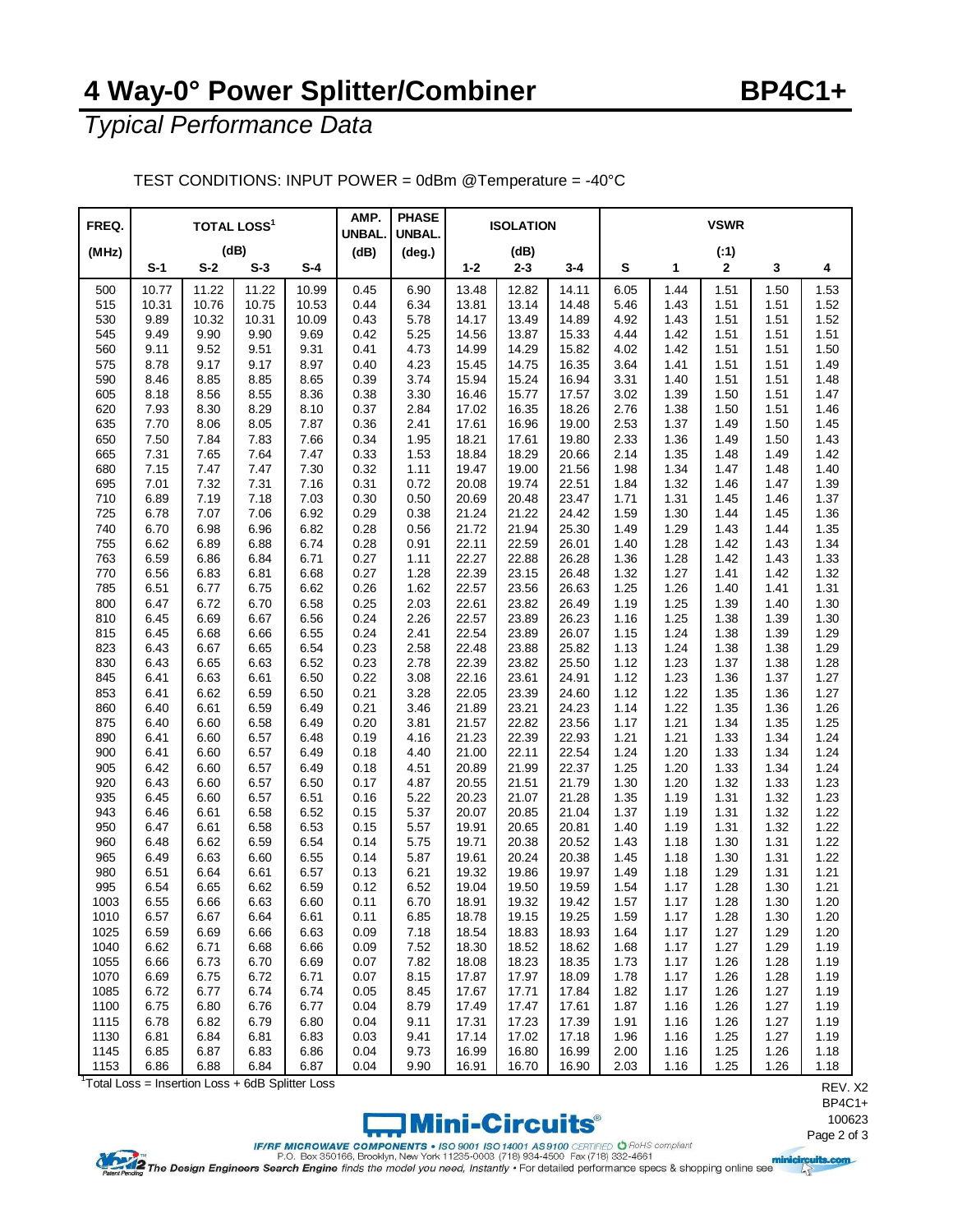## **4 Way-0° Power Splitter/Combiner BP4C1+**

*Typical Performance Data*

| FREQ.      |              | <b>TOTAL LOSS<sup>1</sup></b> |              |              | AMP.<br><b>UNBAL</b> | <b>PHASE</b><br>UNBAL. |                | <b>ISOLATION</b> |                | <b>VSWR</b>  |              |              |              |              |  |
|------------|--------------|-------------------------------|--------------|--------------|----------------------|------------------------|----------------|------------------|----------------|--------------|--------------|--------------|--------------|--------------|--|
| (MHz)      | (dB)         |                               |              | (dB)         | $(\text{deg.})$      |                        | (dB)           |                  |                |              | (.1)         |              |              |              |  |
|            | $S-1$        | $S-2$                         | $S-3$        | $S-4$        |                      |                        | $1 - 2$        | $2 - 3$          | 3-4            | S            | 1            | $\mathbf{2}$ | 3            | 4            |  |
| 500        | 10.77        | 11.22                         | 11.22        | 10.99        | 0.45                 | 6.90                   | 13.48          | 12.82            | 14.11          | 6.05         | 1.44         | 1.51         | 1.50         | 1.53         |  |
| 515        | 10.31        | 10.76                         | 10.75        | 10.53        | 0.44                 | 6.34                   | 13.81          | 13.14            | 14.48          | 5.46         | 1.43         | 1.51         | 1.51         | 1.52         |  |
| 530        | 9.89         | 10.32                         | 10.31        | 10.09        | 0.43                 | 5.78                   | 14.17          | 13.49            | 14.89          | 4.92         | 1.43         | 1.51         | 1.51         | 1.52         |  |
| 545        | 9.49         | 9.90                          | 9.90         | 9.69         | 0.42                 | 5.25                   | 14.56          | 13.87            | 15.33          | 4.44         | 1.42         | 1.51         | 1.51         | 1.51         |  |
| 560        | 9.11         | 9.52                          | 9.51         | 9.31         | 0.41                 | 4.73                   | 14.99          | 14.29            | 15.82          | 4.02         | 1.42         | 1.51         | 1.51         | 1.50         |  |
| 575        | 8.78         | 9.17                          | 9.17         | 8.97         | 0.40                 | 4.23                   | 15.45          | 14.75            | 16.35          | 3.64         | 1.41         | 1.51         | 1.51         | 1.49         |  |
| 590        | 8.46         | 8.85                          | 8.85         | 8.65         | 0.39                 | 3.74                   | 15.94          | 15.24            | 16.94          | 3.31         | 1.40         | 1.51         | 1.51         | 1.48         |  |
| 605        | 8.18         | 8.56                          | 8.55         | 8.36         | 0.38                 | 3.30                   | 16.46          | 15.77            | 17.57          | 3.02         | 1.39         | 1.50         | 1.51         | 1.47         |  |
| 620        | 7.93         | 8.30                          | 8.29         | 8.10         | 0.37                 | 2.84                   | 17.02          | 16.35            | 18.26          | 2.76         | 1.38         | 1.50         | 1.51         | 1.46         |  |
| 635        | 7.70         | 8.06                          | 8.05         | 7.87         | 0.36                 | 2.41                   | 17.61          | 16.96            | 19.00          | 2.53         | 1.37         | 1.49         | 1.50         | 1.45         |  |
| 650<br>665 | 7.50<br>7.31 | 7.84<br>7.65                  | 7.83<br>7.64 | 7.66<br>7.47 | 0.34<br>0.33         | 1.95<br>1.53           | 18.21<br>18.84 | 17.61<br>18.29   | 19.80<br>20.66 | 2.33<br>2.14 | 1.36<br>1.35 | 1.49<br>1.48 | 1.50<br>1.49 | 1.43<br>1.42 |  |
| 680        | 7.15         | 7.47                          | 7.47         | 7.30         | 0.32                 | 1.11                   | 19.47          | 19.00            | 21.56          | 1.98         | 1.34         | 1.47         | 1.48         | 1.40         |  |
| 695        | 7.01         | 7.32                          | 7.31         | 7.16         | 0.31                 | 0.72                   | 20.08          | 19.74            | 22.51          | 1.84         | 1.32         | 1.46         | 1.47         | 1.39         |  |
| 710        | 6.89         | 7.19                          | 7.18         | 7.03         | 0.30                 | 0.50                   | 20.69          | 20.48            | 23.47          | 1.71         | 1.31         | 1.45         | 1.46         | 1.37         |  |
| 725        | 6.78         | 7.07                          | 7.06         | 6.92         | 0.29                 | 0.38                   | 21.24          | 21.22            | 24.42          | 1.59         | 1.30         | 1.44         | 1.45         | 1.36         |  |
| 740        | 6.70         | 6.98                          | 6.96         | 6.82         | 0.28                 | 0.56                   | 21.72          | 21.94            | 25.30          | 1.49         | 1.29         | 1.43         | 1.44         | 1.35         |  |
| 755        | 6.62         | 6.89                          | 6.88         | 6.74         | 0.28                 | 0.91                   | 22.11          | 22.59            | 26.01          | 1.40         | 1.28         | 1.42         | 1.43         | 1.34         |  |
| 763        | 6.59         | 6.86                          | 6.84         | 6.71         | 0.27                 | 1.11                   | 22.27          | 22.88            | 26.28          | 1.36         | 1.28         | 1.42         | 1.43         | 1.33         |  |
| 770        | 6.56         | 6.83                          | 6.81         | 6.68         | 0.27                 | 1.28                   | 22.39          | 23.15            | 26.48          | 1.32         | 1.27         | 1.41         | 1.42         | 1.32         |  |
| 785        | 6.51         | 6.77                          | 6.75         | 6.62         | 0.26                 | 1.62                   | 22.57          | 23.56            | 26.63          | 1.25         | 1.26         | 1.40         | 1.41         | 1.31         |  |
| 800        | 6.47         | 6.72                          | 6.70         | 6.58         | 0.25                 | 2.03                   | 22.61          | 23.82            | 26.49          | 1.19         | 1.25         | 1.39         | 1.40         | 1.30         |  |
| 810        | 6.45         | 6.69                          | 6.67         | 6.56         | 0.24                 | 2.26                   | 22.57          | 23.89            | 26.23          | 1.16         | 1.25         | 1.38         | 1.39         | 1.30         |  |
| 815        | 6.45         | 6.68                          | 6.66         | 6.55         | 0.24                 | 2.41                   | 22.54          | 23.89            | 26.07          | 1.15         | 1.24         | 1.38         | 1.39         | 1.29         |  |
| 823        | 6.43         | 6.67                          | 6.65         | 6.54         | 0.23                 | 2.58                   | 22.48          | 23.88            | 25.82          | 1.13         | 1.24         | 1.38         | 1.38         | 1.29         |  |
| 830        | 6.43         | 6.65                          | 6.63         | 6.52         | 0.23                 | 2.78                   | 22.39          | 23.82            | 25.50          | 1.12         | 1.23         | 1.37         | 1.38         | 1.28         |  |
| 845        | 6.41         | 6.63                          | 6.61         | 6.50         | 0.22                 | 3.08                   | 22.16          | 23.61            | 24.91          | 1.12         | 1.23         | 1.36         | 1.37         | 1.27         |  |
| 853        | 6.41         | 6.62                          | 6.59         | 6.50         | 0.21                 | 3.28                   | 22.05          | 23.39            | 24.60          | 1.12         | 1.22         | 1.35         | 1.36         | 1.27         |  |
| 860        | 6.40         | 6.61                          | 6.59         | 6.49         | 0.21                 | 3.46                   | 21.89          | 23.21            | 24.23          | 1.14         | 1.22         | 1.35         | 1.36         | 1.26         |  |
| 875        | 6.40         | 6.60                          | 6.58         | 6.49         | 0.20                 | 3.81                   | 21.57          | 22.82            | 23.56          | 1.17         | 1.21         | 1.34         | 1.35         | 1.25         |  |
| 890        | 6.41         | 6.60                          | 6.57         | 6.48         | 0.19                 | 4.16                   | 21.23          | 22.39            | 22.93          | 1.21         | 1.21         | 1.33         | 1.34         | 1.24         |  |
| 900        | 6.41         | 6.60                          | 6.57         | 6.49         | 0.18                 | 4.40                   | 21.00          | 22.11            | 22.54          | 1.24         | 1.20         | 1.33         | 1.34         | 1.24         |  |
| 905        | 6.42         | 6.60                          | 6.57         | 6.49         | 0.18                 | 4.51                   | 20.89          | 21.99            | 22.37          | 1.25         | 1.20         | 1.33         | 1.34         | 1.24         |  |
| 920        | 6.43         | 6.60                          | 6.57         | 6.50         | 0.17                 | 4.87                   | 20.55          | 21.51            | 21.79          | 1.30         | 1.20         | 1.32         | 1.33         | 1.23         |  |
| 935        | 6.45         | 6.60                          | 6.57         | 6.51         | 0.16                 | 5.22                   | 20.23          | 21.07            | 21.28          | 1.35         | 1.19         | 1.31         | 1.32         | 1.23         |  |
| 943        | 6.46         | 6.61                          | 6.58         | 6.52         | 0.15                 | 5.37                   | 20.07          | 20.85            | 21.04          | 1.37         | 1.19         | 1.31         | 1.32         | 1.22         |  |
| 950        | 6.47         | 6.61                          | 6.58         | 6.53         | 0.15                 | 5.57                   | 19.91          | 20.65            | 20.81          | 1.40         | 1.19         | 1.31         | 1.32         | 1.22         |  |
| 960<br>965 | 6.48<br>6.49 | 6.62<br>6.63                  | 6.59<br>6.60 | 6.54<br>6.55 | 0.14<br>0.14         | 5.75<br>5.87           | 19.71<br>19.61 | 20.38<br>20.24   | 20.52<br>20.38 | 1.43<br>1.45 | 1.18<br>1.18 | 1.30<br>1.30 | 1.31<br>1.31 | 1.22<br>1.22 |  |
| 980        | 6.51         | 6.64                          | 6.61         | 6.57         | 0.13                 | 6.21                   | 19.32          | 19.86            | 19.97          | 1.49         | 1.18         | 1.29         | 1.31         | 1.21         |  |
| 995        | 6.54         | 6.65                          | 6.62         | 6.59         | 0.12                 | 6.52                   | 19.04          | 19.50            | 19.59          | 1.54         | 1.17         | 1.28         | 1.30         | 1.21         |  |
| 1003       | 6.55         | 6.66                          | 6.63         | 6.60         | 0.11                 | 6.70                   | 18.91          | 19.32            | 19.42          | 1.57         | 1.17         | 1.28         | 1.30         | 1.20         |  |
| 1010       | 6.57         | 6.67                          | 6.64         | 6.61         | 0.11                 | 6.85                   | 18.78          | 19.15            | 19.25          | 1.59         | 1.17         | 1.28         | 1.30         | 1.20         |  |
| 1025       | 6.59         | 6.69                          | 6.66         | 6.63         | 0.09                 | 7.18                   | 18.54          | 18.83            | 18.93          | 1.64         | 1.17         | 1.27         | 1.29         | 1.20         |  |
| 1040       | 6.62         | 6.71                          | 6.68         | 6.66         | 0.09                 | 7.52                   | 18.30          | 18.52            | 18.62          | 1.68         | 1.17         | 1.27         | 1.29         | 1.19         |  |
| 1055       | 6.66         | 6.73                          | 6.70         | 6.69         | 0.07                 | 7.82                   | 18.08          | 18.23            | 18.35          | 1.73         | 1.17         | 1.26         | 1.28         | 1.19         |  |
| 1070       | 6.69         | 6.75                          | 6.72         | 6.71         | 0.07                 | 8.15                   | 17.87          | 17.97            | 18.09          | 1.78         | 1.17         | 1.26         | 1.28         | 1.19         |  |
| 1085       | 6.72         | 6.77                          | 6.74         | 6.74         | 0.05                 | 8.45                   | 17.67          | 17.71            | 17.84          | 1.82         | 1.17         | 1.26         | 1.27         | 1.19         |  |
| 1100       | 6.75         | 6.80                          | 6.76         | 6.77         | 0.04                 | 8.79                   | 17.49          | 17.47            | 17.61          | 1.87         | 1.16         | 1.26         | 1.27         | 1.19         |  |
| 1115       | 6.78         | 6.82                          | 6.79         | 6.80         | 0.04                 | 9.11                   | 17.31          | 17.23            | 17.39          | 1.91         | 1.16         | 1.26         | 1.27         | 1.19         |  |
| 1130       | 6.81         | 6.84                          | 6.81         | 6.83         | 0.03                 | 9.41                   | 17.14          | 17.02            | 17.18          | 1.96         | 1.16         | 1.25         | 1.27         | 1.19         |  |
| 1145       | 6.85         | 6.87                          | 6.83         | 6.86         | 0.04                 | 9.73                   | 16.99          | 16.80            | 16.99          | 2.00         | 1.16         | 1.25         | 1.26         | 1.18         |  |
| 1153       | 6.86         | 6.88                          | 6.84         | 6.87         | 0.04                 | 9.90                   | 16.91          | 16.70            | 16.90          | 2.03         | 1.16         | 1.25         | 1.26         | 1.18         |  |

TEST CONDITIONS: INPUT POWER = 0dBm @Temperature = -40°C

<sup>1</sup>Total Loss = Insertion Loss + 6dB Splitter Loss



REV. X2 BP4C1+ 

IF/RF MICROWAVE COMPONENTS • ISO 9001 ISO 14001 AS 9100 CERTIFIED O Rold'S compliant<br>P.O. Box 350166, Brooklyn, New York 11235-0003 (718) 934-4500 Fax (718) 332-4661<br>Patent Pandal grade (8178) 934-4500 Fax (718) 332-4661<br>P